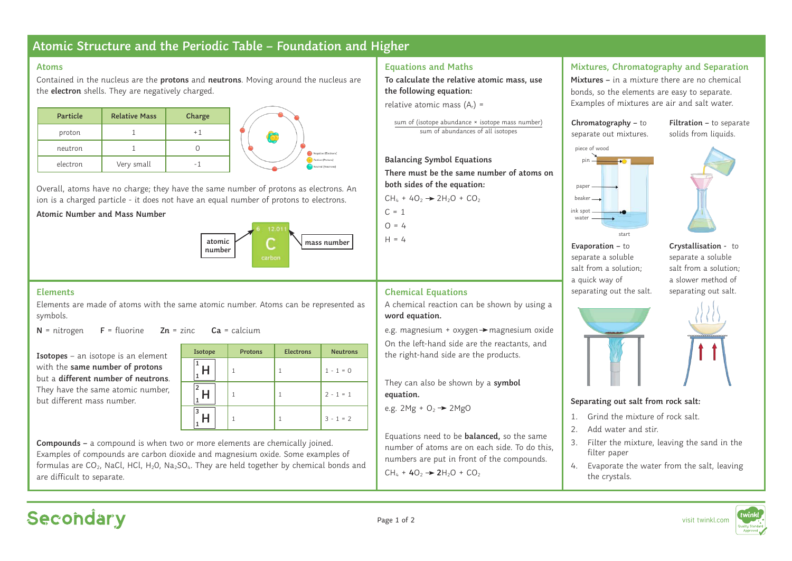## **Atomic Structure and the Periodic Table – Foundation and Higher**

#### **Atoms**

Contained in the nucleus are the **protons** and **neutrons**. Moving around the nucleus are the **electron** shells. They are negatively charged.

| Particle | <b>Relative Mass</b> | Charge |
|----------|----------------------|--------|
| proton   |                      |        |
| neutron  |                      |        |
| electron | Very small           |        |

Overall, atoms have no charge; they have the same number of protons as electrons. An ion is a charged particle - it does not have an equal number of protons to electrons.

#### **Atomic Number and Mass Number**



#### **Elements**

Elements are made of atoms with the same atomic number. Atoms can be represented as symbols.

**N** = nitrogen **F** = fluorine **Zn** = zinc **Ca** = calcium

**Isotopes** – an isotope is an element with the **same number of protons** but a **different number of neutrons**. They have the same atomic number, but different mass number.

| Isotope | <b>Protons</b> | <b>Electrons</b> | <b>Neutrons</b> |
|---------|----------------|------------------|-----------------|
|         |                |                  | $1 - 1 = 0$     |
|         |                |                  | $2 - 1 = 1$     |
|         |                |                  | $3 - 1 = 2$     |

**Compounds –** a compound is when two or more elements are chemically joined. Examples of compounds are carbon dioxide and magnesium oxide. Some examples of formulas are CO<sub>2</sub>, NaCl, HCl, H<sub>2</sub>O, Na<sub>2</sub>SO<sub>4</sub>. They are held together by chemical bonds and are difficult to separate.

### **Equations and Maths**

**To calculate the relative atomic mass, use the following equation:**

relative atomic mass  $(A<sub>r</sub>) =$ 

sum of (isotope abundance × isotope mass number) sum of abundances of all isotopes

**Balancing Symbol Equations There must be the same number of atoms on both sides of the equation:**

A chemical reaction can be shown by using a

e.g. magnesium + oxygen  $\rightarrow$  magnesium oxide On the left-hand side are the reactants, and the right-hand side are the products.

They can also be shown by a **symbol** 

Equations need to be **balanced,** so the same number of atoms are on each side. To do this, numbers are put in front of the compounds.

 $CH_4 + 4O_2 \rightarrow 2H_2O + CO_2$ 

**Chemical Equations**

e.g.  $2Mg + O<sub>2</sub>$   $\rightarrow$   $2MgO$ 

 $CH_4 + 4O_2 \rightarrow 2H_2O + CO_2$ 

**word equation.** 

**equation.**

 $C = 1$  $\Omega = 4$ 

 $H = 4$ 

### **Mixtures, Chromatography and Separation**

**Mixtures –** in a mixture there are no chemical bonds, so the elements are easy to separate. Examples of mixtures are air and salt water.





**Filtration –** to separate solids from liquids.

**Evaporation –** to separate a soluble salt from a solution; a quick way of separating out the salt.

start

ink spot water.

> **Crystallisation -** to separate a soluble salt from a solution; a slower method of separating out salt.



#### **Separating out salt from rock salt:**

- 1. Grind the mixture of rock salt.
- 2. Add water and stir.
- 3. Filter the mixture, leaving the sand in the filter paper
- 4. Evaporate the water from the salt, leaving the crystals.



# Secondary